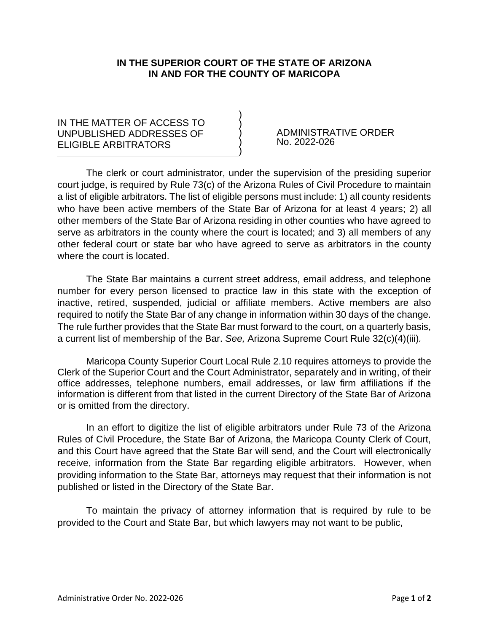## **IN THE SUPERIOR COURT OF THE STATE OF ARIZONA IN AND FOR THE COUNTY OF MARICOPA**

) ) ) ) )

## IN THE MATTER OF ACCESS TO UNPUBLISHED ADDRESSES OF ELIGIBLE ARBITRATORS

ADMINISTRATIVE ORDER No. 2022-026

The clerk or court administrator, under the supervision of the presiding superior court judge, is required by Rule 73(c) of the Arizona Rules of Civil Procedure to maintain a list of eligible arbitrators. The list of eligible persons must include: 1) all county residents who have been active members of the State Bar of Arizona for at least 4 years; 2) all other members of the State Bar of Arizona residing in other counties who have agreed to serve as arbitrators in the county where the court is located; and 3) all members of any other federal court or state bar who have agreed to serve as arbitrators in the county where the court is located.

The State Bar maintains a current street address, email address, and telephone number for every person licensed to practice law in this state with the exception of inactive, retired, suspended, judicial or affiliate members. Active members are also required to notify the State Bar of any change in information within 30 days of the change. The rule further provides that the State Bar must forward to the court, on a quarterly basis, a current list of membership of the Bar. *See,* Arizona Supreme Court Rule 32(c)(4)(iii)*.* 

Maricopa County Superior Court Local Rule 2.10 requires attorneys to provide the Clerk of the Superior Court and the Court Administrator, separately and in writing, of their office addresses, telephone numbers, email addresses, or law firm affiliations if the information is different from that listed in the current Directory of the State Bar of Arizona or is omitted from the directory.

In an effort to digitize the list of eligible arbitrators under Rule 73 of the Arizona Rules of Civil Procedure, the State Bar of Arizona, the Maricopa County Clerk of Court, and this Court have agreed that the State Bar will send, and the Court will electronically receive, information from the State Bar regarding eligible arbitrators. However, when providing information to the State Bar, attorneys may request that their information is not published or listed in the Directory of the State Bar.

To maintain the privacy of attorney information that is required by rule to be provided to the Court and State Bar, but which lawyers may not want to be public,